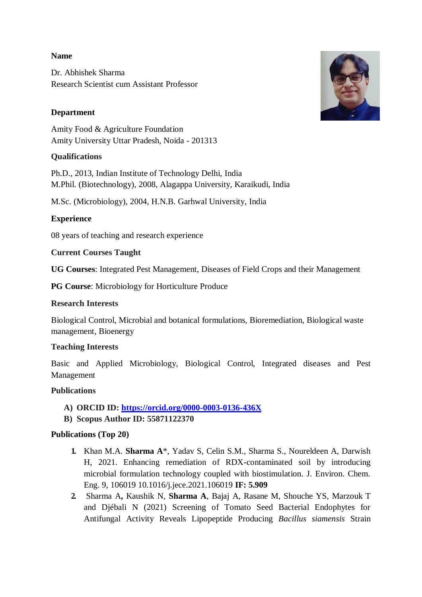#### **Name**

Dr. Abhishek Sharma Research Scientist cum Assistant Professor

# **Department**

Amity Food & Agriculture Foundation Amity University Uttar Pradesh, Noida - 201313

## **Qualifications**

Ph.D., 2013, Indian Institute of Technology Delhi, India M.Phil. (Biotechnology), 2008, Alagappa University, Karaikudi, India

M.Sc. (Microbiology), 2004, H.N.B. Garhwal University, India

## **Experience**

08 years of teaching and research experience

#### **Current Courses Taught**

**UG Courses**: Integrated Pest Management, Diseases of Field Crops and their Management

**PG Course**: Microbiology for Horticulture Produce

## **Research Interests**

Biological Control, Microbial and botanical formulations, Bioremediation, Biological waste management, Bioenergy

## **Teaching Interests**

Basic and Applied Microbiology, Biological Control, Integrated diseases and Pest Management

## **Publications**

- **A) ORCID ID:<https://orcid.org/0000-0003-0136-436X>**
- **B) Scopus Author ID: 55871122370**

## **Publications (Top 20)**

- **1.** Khan M.A. **Sharma A**\*, Yadav S, Celin S.M., Sharma S., Noureldeen A, Darwish H, 2021. Enhancing remediation of RDX-contaminated soil by introducing microbial formulation technology coupled with biostimulation. J. Environ. Chem. Eng. 9, 106019 10.1016/j.jece.2021.106019 **IF: 5.909**
- **2.** Sharma A**,** Kaushik N, **Sharma A**, Bajaj A, Rasane M, Shouche YS, Marzouk T and Djébali N (2021) Screening of Tomato Seed Bacterial Endophytes for Antifungal Activity Reveals Lipopeptide Producing *Bacillus siamensis* Strain

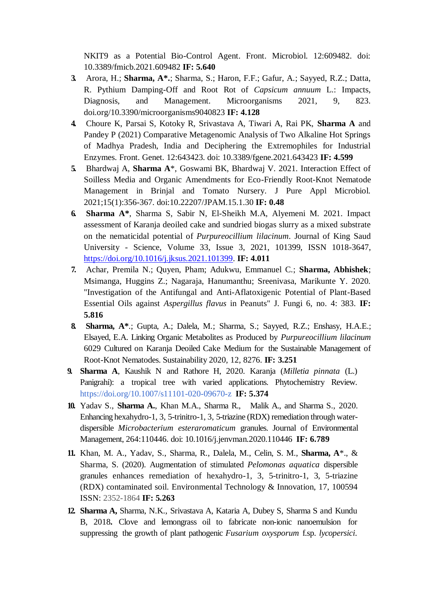NKIT9 as a Potential Bio-Control Agent. Front. Microbiol. 12:609482. doi: 10.3389/fmicb.2021.609482 **IF: 5.640**

- **3.** Arora, H.; **Sharma, A\*.**; Sharma, S.; Haron, F.F.; Gafur, A.; Sayyed, R.Z.; Datta, R. Pythium Damping-Off and Root Rot of *Capsicum annuum* L.: Impacts, Diagnosis, and Management. Microorganisms 2021, 9, 823. doi.org/10.3390/microorganisms9040823 **IF: 4.128**
- **4.** Choure K, Parsai S, Kotoky R, Srivastava A, Tiwari A, Rai PK, **Sharma A** and Pandey P (2021) Comparative Metagenomic Analysis of Two Alkaline Hot Springs of Madhya Pradesh, India and Deciphering the Extremophiles for Industrial Enzymes. Front. Genet. 12:643423. doi: 10.3389/fgene.2021.643423 **IF: 4.599**
- **5.** Bhardwaj A, **Sharma A**\*, Goswami BK, Bhardwaj V. 2021. Interaction Effect of Soilless Media and Organic Amendments for Eco-Friendly Root-Knot Nematode Management in Brinjal and Tomato Nursery. J Pure Appl Microbiol. 2021;15(1):356-367. doi:10.22207/JPAM.15.1.30 **IF: 0.48**
- **6. Sharma A\***, Sharma S, Sabir N, El-Sheikh M.A, Alyemeni M. 2021. Impact assessment of Karanja deoiled cake and sundried biogas slurry as a mixed substrate on the nematicidal potential of *Purpureocillium lilacinum*. Journal of King Saud University - Science, Volume 33, Issue 3, 2021, 101399, ISSN 1018-3647, [https://doi.org/10.1016/j.jksus.2021.101399.](https://doi.org/10.1016/j.jksus.2021.101399) **IF: 4.011**
- **7.** Achar, Premila N.; Quyen, Pham; Adukwu, Emmanuel C.; **Sharma, Abhishek**; Msimanga, Huggins Z.; Nagaraja, Hanumanthu; Sreenivasa, Marikunte Y. 2020. "Investigation of the Antifungal and Anti-Aflatoxigenic Potential of Plant-Based Essential Oils against *Aspergillus flavus* in Peanuts" J. Fungi 6, no. 4: 383. **IF: 5.816**
- **8. Sharma, A\***.; Gupta, A.; Dalela, M.; Sharma, S.; Sayyed, R.Z.; Enshasy, H.A.E.; Elsayed, E.A. Linking Organic Metabolites as Produced by *Purpureocillium lilacinum*  6029 Cultured on Karanja Deoiled Cake Medium for the Sustainable Management of Root-Knot Nematodes. Sustainability 2020, 12, 8276. **IF: 3.251**
- **9. Sharma A**, Kaushik N and Rathore H, 2020. Karanja (*Milletia pinnata* (L.) Panigrahi): a tropical tree with varied applications. Phytochemistry Review[.](https://doi.org/10.1007/s11101-020-09670-z) <https://doi.org/10.1007/s11101-020-09670-z> **IF: 5.374**
- **10.** Yadav S., **Sharma A.**, Khan M.A., Sharma R., Malik A., and Sharma S., 2020. Enhancing hexahydro-1, 3, 5-trinitro-1, 3, 5-triazine (RDX) remediation through waterdispersible *Microbacterium esteraromaticum* granules. Journal of Environmental Management, 264:110446. doi: 10.1016/j.jenvman.2020.110446 **IF: 6.789**
- **11.** Khan, M. A., Yadav, S., Sharma, R., Dalela, M., Celin, S. M., **Sharma, A**\*., & Sharma, S. (2020). Augmentation of stimulated *Pelomonas aquatica* dispersible granules enhances remediation of hexahydro-1, 3, 5-trinitro-1, 3, 5-triazine (RDX) contaminated soil. Environmental Technology & Innovation, 17, 100594 ISSN: 2352-1864 **IF: 5.263**
- **12. Sharma A,** Sharma, N.K., Srivastava A, Kataria A, Dubey S, Sharma S and Kundu B, 2018**.** Clove and lemongrass oil to fabricate non-ionic nanoemulsion for suppressing the growth of plant pathogenic *Fusarium oxysporum* f.sp. *lycopersici*.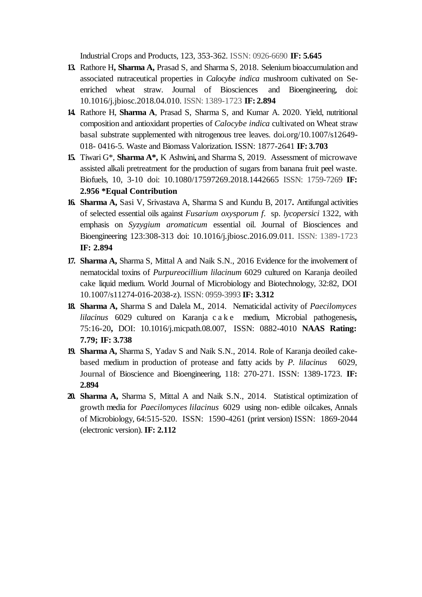Industrial Crops and Products, 123, 353-362. ISSN: 0926-6690 **IF: 5.645**

- **13.** Rathore H**, Sharma A,** Prasad S, and Sharma S, 2018. Selenium bioaccumulation and associated nutraceutical properties in *Calocybe indica* mushroom cultivated on Seenriched wheat straw. Journal of Biosciences and Bioengineering, doi: 10.1016/j.jbiosc.2018.04.010. ISSN: 1389-1723 **IF: 2.894**
- **14.** Rathore H, **Sharma A**, Prasad S, Sharma S, and Kumar A. 2020. Yield, nutritional composition and antioxidant properties of *Calocybe indica* cultivated on Wheat straw basal substrate supplemented with nitrogenous tree leaves. doi.org/10.1007/s12649- 018- 0416-5. Waste and Biomass Valorization. ISSN: 1877-2641 **IF: 3.703**
- **15.** Tiwari G\*, **Sharma A\*,** K Ashwini**,** and Sharma S, 2019. Assessment of microwave assisted alkali pretreatment for the production of sugars from banana fruit peel waste. Biofuels, 10, 3-10 doi: 10.1080/17597269.2018.1442665 ISSN: 1759-7269 **IF: 2.956 \*Equal Contribution**
- **16. Sharma A,** Sasi V, Srivastava A, Sharma S and Kundu B, 2017**.** Antifungal activities of selected essential oils against *Fusarium oxysporum f.* sp. *lycopersici* 1322, with emphasis on *Syzygium aromaticum* essential oil. Journal of Biosciences and Bioengineering 123:308-313 doi: 10.1016/j.jbiosc.2016.09.011. ISSN: 1389-1723 **IF: 2.894**
- **17. Sharma A,** Sharma S, Mittal A and Naik S.N., 2016 Evidence for the involvement of nematocidal toxins of *Purpureocillium lilacinum* 6029 cultured on Karanja deoiled cake liquid medium. World Journal of Microbiology and Biotechnology, 32:82, DOI 10.1007/s11274-016-2038-z). ISSN: 0959-3993 **IF: 3.312**
- **18. Sharma A,** Sharma S and Dalela M., 2014. Nematicidal activity of *Paecilomyces lilacinus* 6029 cultured on Karanja c a k e medium, Microbial pathogenesis**,** 75:16-20**,** DOI: 10.1016/j.micpath.08.007, ISSN: 0882-4010 **NAAS Rating: 7.79; IF: 3.738**
- **19. Sharma A,** Sharma S, Yadav S and Naik S.N., 2014. Role of Karanja deoiled cakebased medium in production of protease and fatty acids by *P. lilacinus* 6029, Journal of Bioscience and Bioengineering, 118: 270-271. ISSN: 1389-1723. **IF: 2.894**
- **20. Sharma A,** Sharma S, Mittal A and Naik S.N., 2014. Statistical optimization of growth media for *Paecilomyces lilacinus* 6029 using non- edible oilcakes, Annals of Microbiology, 64:515-520. ISSN: 1590-4261 (print version) ISSN: 1869-2044 (electronic version). **IF: 2.112**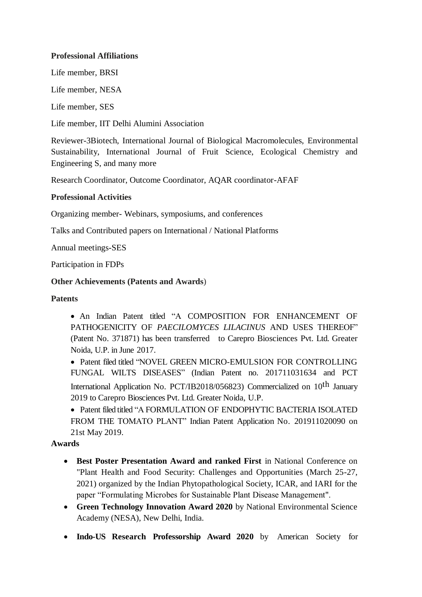# **Professional Affiliations**

Life member, BRSI

Life member, NESA

Life member, SES

Life member, IIT Delhi Alumini Association

Reviewer-3Biotech, International Journal of Biological Macromolecules, Environmental Sustainability, International Journal of Fruit Science, Ecological Chemistry and Engineering S, and many more

Research Coordinator, Outcome Coordinator, AQAR coordinator-AFAF

## **Professional Activities**

Organizing member- Webinars, symposiums, and conferences

Talks and Contributed papers on International / National Platforms

Annual meetings-SES

Participation in FDPs

# **Other Achievements (Patents and Awards**)

# **Patents**

• An Indian Patent titled "A COMPOSITION FOR ENHANCEMENT OF PATHOGENICITY OF *PAECILOMYCES LILACINUS* AND USES THEREOF" (Patent No. 371871) has been transferred to Carepro Biosciences Pvt. Ltd. Greater Noida, U.P. in June 2017.

• Patent filed titled "NOVEL GREEN MICRO-EMULSION FOR CONTROLLING FUNGAL WILTS DISEASES" (Indian Patent no. 201711031634 and PCT International Application No. PCT/IB2018/056823) Commercialized on 10<sup>th</sup> January 2019 to Carepro Biosciences Pvt. Ltd. Greater Noida, U.P.

• Patent filed titled "A FORMULATION OF ENDOPHYTIC BACTERIA ISOLATED FROM THE TOMATO PLANT" Indian Patent Application No. 201911020090 on 21st May 2019.

# **Awards**

- **Best Poster Presentation Award and ranked First** in National Conference on "Plant Health and Food Security: Challenges and Opportunities (March 25-27, 2021) organized by the Indian Phytopathological Society, ICAR, and IARI for the paper "Formulating Microbes for Sustainable Plant Disease Management".
- **Green Technology Innovation Award 2020** by National Environmental Science Academy (NESA), New Delhi, India.
- **Indo-US Research Professorship Award 2020** by American Society for